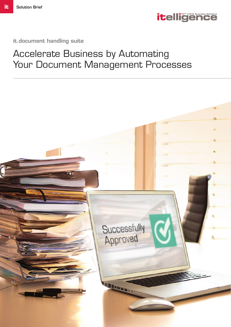

it.document handling suite

## Accelerate Business by Automating Your Document Management Processes

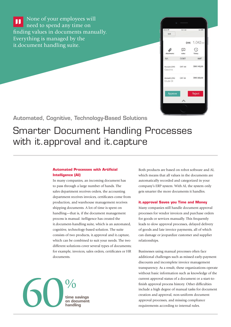None of your employees will  $\blacksquare$ need to spend any time on finding values in documents manually. Everything is managed by the it.document handling suite.



Automated, Cognitive, Technology-Based Solutions

## Smarter Document Handling Processes with it approval and it capture

#### **Automated Processes with Artificial Intelligence (AI)**

In many companies, an incoming document has to pass through a large number of hands. The sales department receives orders, the accounting department receives invoices, certificates come from production, and warehouse management receives shipping documents. A lot of time is spent on handling—that is, if the document management process is manual. itelligence has created the it.document-handling suite, which is an automated, cognitive, technology-based solution. The suite consists of two products, it.approval and it.capture, which can be combined to suit your needs. The two different solutions cover several types of documents; for example, invoices, sales orders, certificates or HR documents.



Both products are based on robot software and AI, which means that all values in the documents are automatically recorded and categorized in your company's ERP system. With AI, the system only gets smarter the more documents it handles.

#### **it.approval Saves you Time and Money**

 Many companies still handle document approval processes for vendor invoices and purchase orders for goods or services manually. This frequently leads to slow approval processes, delayed delivery of goods and late invoice payments, all of which can damage or jeopardize customer and supplier relationships.

Businesses using manual processes often face additional challenges such as missed early-payment discounts and incomplete invoice management transparency. As a result, these organizations operate without basic information such as knowledge of the current approval status of a document or a start-tofinish approval process history. Other difficulties include a high degree of manual tasks for document creation and approval, non-uniform document approval processes, and missing compliance requirements according to internal rules.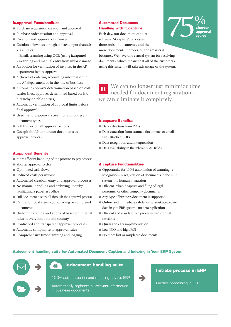#### **it.approval Functionalities**

- Purchase requisition creation and approval
- Purchase order creation and approval
- Creation and approval of invoices
- Creation of invoices through different input channels: – XML fi les
	- Email, scanning using OCR (using it.capture)
- Scanning and manual entry from invoice image
- $\blacksquare$  An option for verification of invoices in the AP department before approval
- A choice of entering accounting information in the AP department or in the line of business
- Automatic approver determination based on cost carrier (next approver determined based on HR hierarchy or table entries)
- Automatic verification of approval limits before final approval
- User-friendly approval screen for approving all document types
- Full history on all approval actions
- Cockpit for AP to monitor documents in approval process

#### **it.approval Benefits**

- More efficient handling of the procure-to-pay process
- Shorter approval cycles
- Optimized cash flows
- Reduced costs per invoice
- Automated creation, entry and approval processes
- No manual handling and archiving, thereby facilitating a paperless office
- Full document history all through the approval process
- Central or local viewing of ongoing or completed documents
- Uniform handling and approval based on internal rules in every location and country
- Controlled and transparent approval processes
- Automatic compliance to approval rules
- Comprehensive time-stamping and logging

#### **Automated Document Handling with it.capture**

Each day, our document capture software "it.capture" processes thousands of documents, and the 75**shorter approval cycles**  $\frac{0}{0}$ 

more documents it processes, the smarter it becomes. We have one central system for receiving documents, which means that all of the customers using this system will take advantage of the system.

We can no longer just minimize time needed for document registration – we can eliminate it completely.

#### **it.capture Benefits**

- Data extraction from PDFs
- Data extraction from scanned documents or emails with attached PDFs
- Data recognition and interpretation
- Data availability in the relevant SAP fields

#### **it.capture Functionalities**

- Opportunity for 100% automation of scanning --> recognition --> registration of documents in the ERP system - no human interaction
- $\blacksquare$  Efficient, reliable capture and filing of legal, personnel or other company documents
- Any type of business document is supported
- Online and immediate validation against up-to-date data in you ERP system - no data replication
- Efficient and standardized processes with formal revisions
- Quick and easy implementation
- Low TCO and high ROI
- No more lost or misplaced documents

#### **it.document handling suite for Automated Document Caption and Indexing in Your ERP System**



**it.document handling suite**

100% auto detection and mapping data to ERP

Automatically registers all relevant information in business documents



#### **Initiate process in ERP**

Further processing in ERP